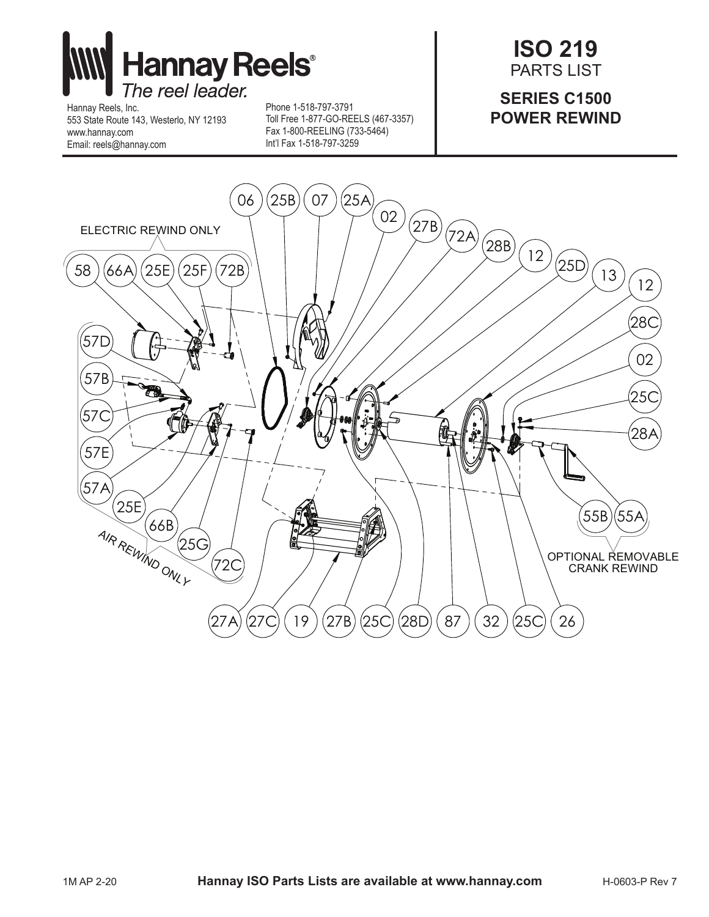

Hannay Reels, Inc. 553 State Route 143, Westerlo, NY 12193 www.hannay.com Email: reels@hannay.com

Phone 1-518-797-3791 Toll Free 1-877-GO-REELS (467-3357) Fax 1-800-REELING (733-5464) Int'l Fax 1-518-797-3259

## **ISO 219** PARTS LIST

## **SERIES C1500 POWER REWIND**